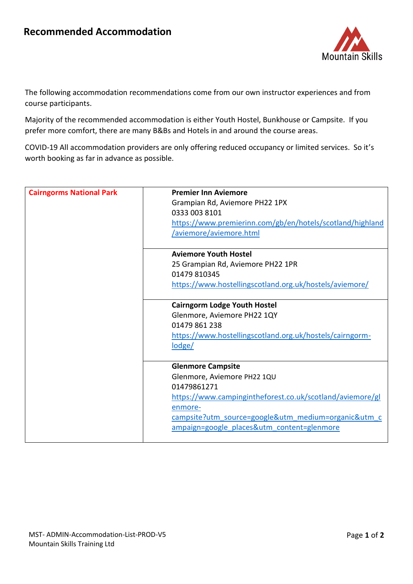

The following accommodation recommendations come from our own instructor experiences and from course participants.

Majority of the recommended accommodation is either Youth Hostel, Bunkhouse or Campsite. If you prefer more comfort, there are many B&Bs and Hotels in and around the course areas.

COVID-19 All accommodation providers are only offering reduced occupancy or limited services. So it's worth booking as far in advance as possible.

| <b>Cairngorms National Park</b> | <b>Premier Inn Aviemore</b><br>Grampian Rd, Aviemore PH22 1PX<br>0333 003 8101<br>https://www.premierinn.com/gb/en/hotels/scotland/highland<br>/aviemore/aviemore.html                                                                              |
|---------------------------------|-----------------------------------------------------------------------------------------------------------------------------------------------------------------------------------------------------------------------------------------------------|
|                                 | <b>Aviemore Youth Hostel</b><br>25 Grampian Rd, Aviemore PH22 1PR<br>01479 810345<br>https://www.hostellingscotland.org.uk/hostels/aviemore/                                                                                                        |
|                                 | <b>Cairngorm Lodge Youth Hostel</b><br>Glenmore, Aviemore PH22 1QY<br>01479 861 238<br>https://www.hostellingscotland.org.uk/hostels/cairngorm-<br>lodge/                                                                                           |
|                                 | <b>Glenmore Campsite</b><br>Glenmore, Aviemore PH22 1QU<br>01479861271<br>https://www.campingintheforest.co.uk/scotland/aviemore/gl<br>enmore-<br>campsite?utm_source=google&utm_medium=organic&utm_c<br>ampaign=google places&utm content=glenmore |